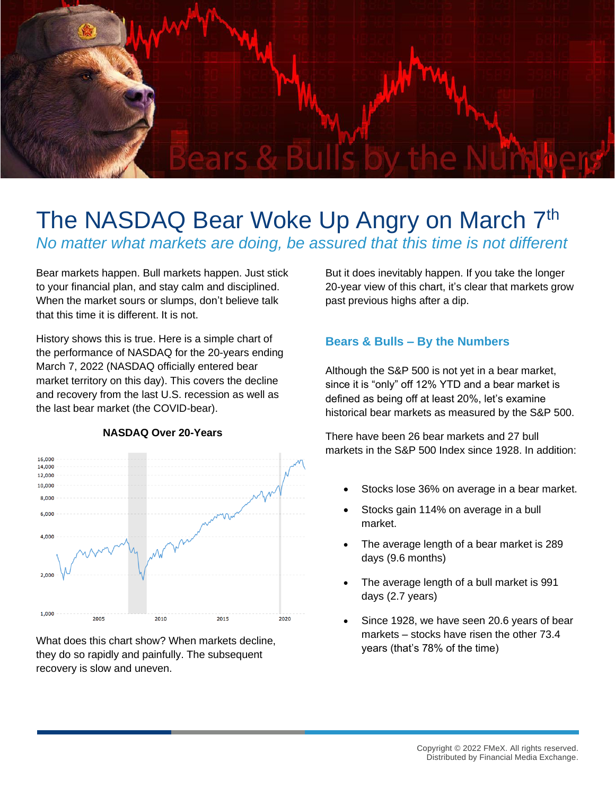

# The NASDAQ Bear Woke Up Angry on March 7<sup>th</sup> *No matter what markets are doing, be assured that this time is not different*

Bear markets happen. Bull markets happen. Just stick to your financial plan, and stay calm and disciplined. When the market sours or slumps, don't believe talk that this time it is different. It is not.

History shows this is true. Here is a simple chart of the performance of NASDAQ for the 20-years ending March 7, 2022 (NASDAQ officially entered bear market territory on this day). This covers the decline and recovery from the last U.S. recession as well as the last bear market (the COVID-bear).



#### **NASDAQ Over 20-Years**

What does this chart show? When markets decline, they do so rapidly and painfully. The subsequent recovery is slow and uneven.

But it does inevitably happen. If you take the longer 20-year view of this chart, it's clear that markets grow past previous highs after a dip.

## **Bears & Bulls – By the Numbers**

Although the S&P 500 is not yet in a bear market, since it is "only" off 12% YTD and a bear market is defined as being off at least 20%, let's examine historical bear markets as measured by the S&P 500.

There have been 26 bear markets and 27 bull markets in the S&P 500 Index since 1928. In addition:

- Stocks lose 36% on average in a bear market.
- Stocks gain 114% on average in a bull market.
- The average length of a bear market is 289 days (9.6 months)
- The average length of a bull market is 991 days (2.7 years)
- Since 1928, we have seen 20.6 years of bear markets – stocks have risen the other 73.4 years (that's 78% of the time)